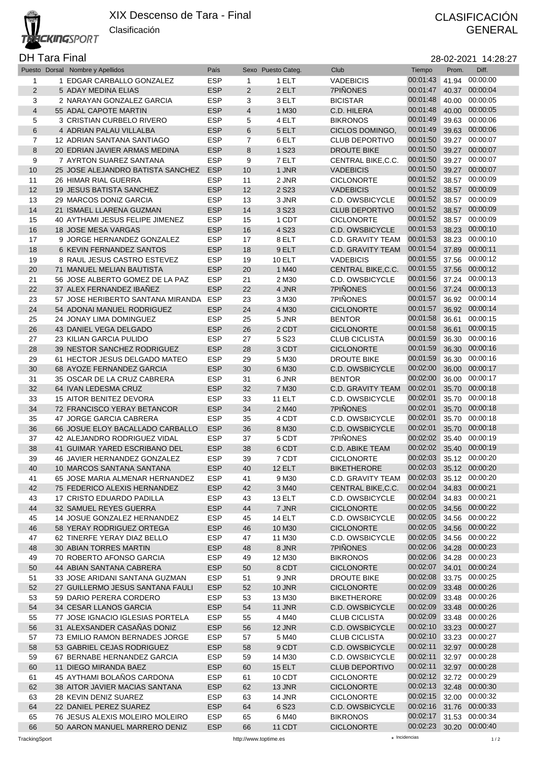## DH Tara Final 28-02-2021 14:28:27

|                | Puesto Dorsal Nombre y Apellidos  | País       |                         | Sexo Puesto Categ. | Club                     | Tiempo   | Prom. | Diff.          |
|----------------|-----------------------------------|------------|-------------------------|--------------------|--------------------------|----------|-------|----------------|
| 1              | 1 EDGAR CARBALLO GONZALEZ         | <b>ESP</b> | $\mathbf{1}$            | 1 ELT              | <b>VADEBICIS</b>         | 00:01:43 | 41.94 | 00:00:00       |
| $\overline{2}$ | 5 ADAY MEDINA ELIAS               | <b>ESP</b> | 2                       | 2 ELT              | 7PIÑONES                 | 00:01:47 | 40.37 | 00:00:04       |
| 3              | 2 NARAYAN GONZALEZ GARCIA         | <b>ESP</b> | 3                       | 3 ELT              | <b>BICISTAR</b>          | 00:01:48 | 40.00 | 00:00:05       |
| $\overline{4}$ | 55 ADAL CAPOTE MARTIN             | <b>ESP</b> | $\overline{\mathbf{4}}$ | 1 M30              | C.D. HILERA              | 00:01:48 | 40.00 | 00:00:05       |
|                |                                   |            |                         |                    |                          | 00:01:49 |       | 00:00:06       |
| 5              | 3 CRISTIAN CURBELO RIVERO         | <b>ESP</b> | 5                       | 4 ELT              | <b>BIKRONOS</b>          |          | 39.63 |                |
| 6              | 4 ADRIAN PALAU VILLALBA           | <b>ESP</b> | 6                       | 5 ELT              | CICLOS DOMINGO,          | 00:01:49 | 39.63 | 00:00:06       |
| $\overline{7}$ | 12 ADRIAN SANTANA SANTIAGO        | <b>ESP</b> | $\overline{7}$          | 6 ELT              | <b>CLUB DEPORTIVO</b>    | 00:01:50 |       | 39.27 00:00:07 |
| 8              | 20 EDRIAN JAVIER ARMAS MEDINA     | <b>ESP</b> | 8                       | 1 S23              | <b>DROUTE BIKE</b>       | 00:01:50 | 39.27 | 00:00:07       |
| 9              | 7 AYRTON SUAREZ SANTANA           | <b>ESP</b> | 9                       | 7 ELT              | CENTRAL BIKE, C.C.       | 00:01:50 |       | 39.27 00:00:07 |
| 10             | 25 JOSE ALEJANDRO BATISTA SANCHEZ | <b>ESP</b> | 10                      | 1 JNR              | <b>VADEBICIS</b>         | 00:01:50 |       | 39.27 00:00:07 |
| 11             | <b>26 HIMAR RIAL GUERRA</b>       | <b>ESP</b> | 11                      | 2 JNR              | <b>CICLONORTE</b>        | 00:01:52 | 38.57 | 00:00:09       |
| 12             | 19 JESUS BATISTA SANCHEZ          | <b>ESP</b> | 12                      | 2 S <sub>23</sub>  | <b>VADEBICIS</b>         | 00:01:52 |       | 38.57 00:00:09 |
|                | 29 MARCOS DONIZ GARCIA            | <b>ESP</b> |                         |                    | C.D. OWSBICYCLE          | 00:01:52 |       | 38.57 00:00:09 |
| 13             |                                   |            | 13                      | 3 JNR              |                          |          |       |                |
| 14             | 21 ISMAEL LLARENA GUZMAN          | <b>ESP</b> | 14                      | 3 S <sub>23</sub>  | <b>CLUB DEPORTIVO</b>    | 00:01:52 | 38.57 | 00:00:09       |
| 15             | 40 AYTHAMI JESUS FELIPE JIMENEZ   | <b>ESP</b> | 15                      | 1 CDT              | <b>CICLONORTE</b>        | 00:01:52 |       | 38.57 00:00:09 |
| 16             | 18 JOSE MESA VARGAS               | <b>ESP</b> | 16                      | 4 S23              | C.D. OWSBICYCLE          | 00:01:53 | 38.23 | 00:00:10       |
| 17             | 9 JORGE HERNANDEZ GONZALEZ        | <b>ESP</b> | 17                      | 8 ELT              | <b>C.D. GRAVITY TEAM</b> | 00:01:53 | 38.23 | 00:00:10       |
| 18             | 6 KEVIN FERNANDEZ SANTOS          | <b>ESP</b> | 18                      | 9 ELT              | C.D. GRAVITY TEAM        | 00:01:54 | 37.89 | 00:00:11       |
| 19             | 8 RAUL JESUS CASTRO ESTEVEZ       | <b>ESP</b> | 19                      | <b>10 ELT</b>      | <b>VADEBICIS</b>         | 00:01:55 |       | 37.56 00:00:12 |
| 20             | 71 MANUEL MELIAN BAUTISTA         | <b>ESP</b> | 20                      | 1 M40              | CENTRAL BIKE, C.C.       | 00:01:55 | 37.56 | 00:00:12       |
| 21             | 56 JOSE ALBERTO GOMEZ DE LA PAZ   | <b>ESP</b> | 21                      | 2 M30              | C.D. OWSBICYCLE          | 00:01:56 |       | 37.24 00:00:13 |
|                |                                   |            |                         |                    |                          | 00:01:56 |       | 00:00:13       |
| 22             | 37 ALEX FERNANDEZ IBAÑEZ          | <b>ESP</b> | 22                      | 4 JNR              | 7PIÑONES                 |          | 37.24 |                |
| 23             | 57 JOSE HERIBERTO SANTANA MIRANDA | <b>ESP</b> | 23                      | 3 M30              | <b>7PIÑONES</b>          | 00:01:57 | 36.92 | 00:00:14       |
| 24             | 54 ADONAI MANUEL RODRIGUEZ        | <b>ESP</b> | 24                      | 4 M30              | <b>CICLONORTE</b>        | 00:01:57 | 36.92 | 00:00:14       |
| 25             | 24 JONAY LIMA DOMINGUEZ           | <b>ESP</b> | 25                      | 5 JNR              | <b>BENTOR</b>            | 00:01:58 | 36.61 | 00:00:15       |
| 26             | 43 DANIEL VEGA DELGADO            | <b>ESP</b> | 26                      | 2 CDT              | <b>CICLONORTE</b>        | 00:01:58 | 36.61 | 00:00:15       |
| 27             | 23 KILIAN GARCIA PULIDO           | <b>ESP</b> | 27                      | 5 S23              | <b>CLUB CICLISTA</b>     | 00:01:59 | 36.30 | 00:00:16       |
| 28             | 39 NESTOR SANCHEZ RODRIGUEZ       | <b>ESP</b> | 28                      | 3 CDT              | <b>CICLONORTE</b>        | 00:01:59 | 36.30 | 00:00:16       |
| 29             | 61 HECTOR JESUS DELGADO MATEO     | <b>ESP</b> | 29                      | 5 M30              | <b>DROUTE BIKE</b>       | 00:01:59 | 36.30 | 00:00:16       |
| 30             | 68 AYOZE FERNANDEZ GARCIA         | <b>ESP</b> | 30                      | 6 M30              | C.D. OWSBICYCLE          | 00:02:00 | 36.00 | 00:00:17       |
| 31             | 35 OSCAR DE LA CRUZ CABRERA       | <b>ESP</b> | 31                      | 6 JNR              | <b>BENTOR</b>            | 00:02:00 |       | 36.00 00:00:17 |
| 32             | 64 IVAN LEDESMA CRUZ              | <b>ESP</b> | 32                      | 7 M30              | <b>C.D. GRAVITY TEAM</b> | 00:02:01 | 35.70 | 00:00:18       |
|                |                                   |            |                         |                    |                          | 00:02:01 |       |                |
| 33             | 15 AITOR BENITEZ DEVORA           | <b>ESP</b> | 33                      | <b>11 ELT</b>      | C.D. OWSBICYCLE          |          |       | 35.70 00:00:18 |
| 34             | 72 FRANCISCO YERAY BETANCOR       | <b>ESP</b> | 34                      | 2 M40              | 7PIÑONES                 | 00:02:01 | 35.70 | 00:00:18       |
| 35             | 47 JORGE GARCIA CABRERA           | <b>ESP</b> | 35                      | 4 CDT              | C.D. OWSBICYCLE          | 00:02:01 | 35.70 | 00:00:18       |
| 36             | 66 JOSUE ELOY BACALLADO CARBALLO  | <b>ESP</b> | 36                      | 8 M30              | C.D. OWSBICYCLE          | 00:02:01 | 35.70 | 00:00:18       |
| 37             | 42 ALEJANDRO RODRIGUEZ VIDAL      | <b>ESP</b> | 37                      | 5 CDT              | 7PIÑONES                 | 00:02:02 | 35.40 | 00:00:19       |
| 38             | 41 GUIMAR YARED ESCRIBANO DEL     | <b>ESP</b> | 38                      | 6 CDT              | C.D. ABIKE TEAM          | 00:02:02 | 35.40 | 00:00:19       |
| 39             | 46 JAVIER HERNANDEZ GONZALEZ      | <b>ESP</b> | 39                      | 7 CDT              | <b>CICLONORTE</b>        | 00:02:03 | 35.12 | 00:00:20       |
| 40             | 10 MARCOS SANTANA SANTANA         | <b>ESP</b> | 40                      | 12 ELT             | <b>BIKETHERORE</b>       | 00:02:03 |       | 35.12 00:00:20 |
| 41             | 65 JOSE MARIA ALMENAR HERNANDEZ   | <b>ESP</b> | 41                      | 9 M30              | <b>C.D. GRAVITY TEAM</b> | 00:02:03 |       | 35.12 00:00:20 |
| 42             | 75 FEDERICO ALEXIS HERNANDEZ      | <b>ESP</b> | 42                      | 3 M40              | CENTRAL BIKE, C.C.       | 00:02:04 |       | 34.83 00:00:21 |
|                |                                   |            |                         |                    |                          |          |       | 34.83 00:00:21 |
| 43             | 17 CRISTO EDUARDO PADILLA         | <b>ESP</b> | 43                      | 13 ELT             | C.D. OWSBICYCLE          | 00:02:04 |       |                |
| 44             | 32 SAMUEL REYES GUERRA            | <b>ESP</b> | 44                      | 7 JNR              | <b>CICLONORTE</b>        | 00:02:05 | 34.56 | 00:00:22       |
| 45             | 14 JOSUE GONZALEZ HERNANDEZ       | <b>ESP</b> | 45                      | <b>14 ELT</b>      | C.D. OWSBICYCLE          | 00:02:05 |       | 34.56 00:00:22 |
| 46             | 58 YERAY RODRIGUEZ ORTEGA         | <b>ESP</b> | 46                      | 10 M30             | <b>CICLONORTE</b>        | 00:02:05 | 34.56 | 00:00:22       |
| 47             | 62 TINERFE YERAY DIAZ BELLO       | <b>ESP</b> | 47                      | 11 M30             | C.D. OWSBICYCLE          | 00:02:05 |       | 34.56 00:00:22 |
| 48             | 30 ABIAN TORRES MARTIN            | <b>ESP</b> | 48                      | 8 JNR              | 7PIÑONES                 | 00:02:06 | 34.28 | 00:00:23       |
| 49             | 70 ROBERTO AFONSO GARCIA          | <b>ESP</b> | 49                      | 12 M30             | <b>BIKRONOS</b>          | 00:02:06 | 34.28 | 00:00:23       |
| 50             | 44 ABIAN SANTANA CABRERA          | <b>ESP</b> | 50                      | 8 CDT              | <b>CICLONORTE</b>        | 00:02:07 | 34.01 | 00:00:24       |
| 51             | 33 JOSE ARIDANI SANTANA GUZMAN    | <b>ESP</b> | 51                      | 9 JNR              | <b>DROUTE BIKE</b>       | 00:02:08 |       | 33.75 00:00:25 |
| 52             | 27 GUILLERMO JESUS SANTANA FAULI  | <b>ESP</b> | 52                      | 10 JNR             | <b>CICLONORTE</b>        | 00:02:09 | 33.48 | 00:00:26       |
|                |                                   |            |                         |                    |                          | 00:02:09 |       | 33.48 00:00:26 |
| 53             | 59 DARIO PERERA CORDERO           | <b>ESP</b> | 53                      | 13 M30             | <b>BIKETHERORE</b>       |          |       |                |
| 54             | 34 CESAR LLANOS GARCIA            | <b>ESP</b> | 54                      | 11 JNR             | C.D. OWSBICYCLE          | 00:02:09 | 33.48 | 00:00:26       |
| 55             | 77 JOSE IGNACIO IGLESIAS PORTELA  | <b>ESP</b> | 55                      | 4 M40              | <b>CLUB CICLISTA</b>     | 00:02:09 | 33.48 | 00:00:26       |
| 56             | 31 ALEXSANDER CASAÑAS DONIZ       | <b>ESP</b> | 56                      | 12 JNR             | C.D. OWSBICYCLE          | 00:02:10 | 33.23 | 00:00:27       |
| 57             | 73 EMILIO RAMON BERNADES JORGE    | <b>ESP</b> | 57                      | 5 M40              | <b>CLUB CICLISTA</b>     | 00:02:10 |       | 33.23 00:00:27 |
| 58             | 53 GABRIEL CEJAS RODRIGUEZ        | <b>ESP</b> | 58                      | 9 CDT              | C.D. OWSBICYCLE          | 00:02:11 |       | 32.97 00:00:28 |
| 59             | 67 BERNABE HERNANDEZ GARCIA       | <b>ESP</b> | 59                      | 14 M30             | C.D. OWSBICYCLE          | 00:02:11 |       | 32.97 00:00:28 |
| 60             | 11 DIEGO MIRANDA BAEZ             | <b>ESP</b> | 60                      | <b>15 ELT</b>      | <b>CLUB DEPORTIVO</b>    | 00:02:11 |       | 32.97 00:00:28 |
| 61             | 45 AYTHAMI BOLAÑOS CARDONA        | <b>ESP</b> | 61                      | 10 CDT             | <b>CICLONORTE</b>        | 00:02:12 |       | 32.72 00:00:29 |
|                |                                   |            |                         |                    |                          | 00:02:13 |       |                |
| 62             | 38 AITOR JAVIER MACIAS SANTANA    | <b>ESP</b> | 62                      | 13 JNR             | <b>CICLONORTE</b>        |          |       | 32.48 00:00:30 |
| 63             | 28 KEVIN DENIZ SUAREZ             | <b>ESP</b> | 63                      | 14 JNR             | <b>CICLONORTE</b>        | 00:02:15 |       | 32.00 00:00:32 |
| 64             | 22 DANIEL PEREZ SUAREZ            | <b>ESP</b> | 64                      | 6 S23              | C.D. OWSBICYCLE          | 00:02:16 |       | 31.76 00:00:33 |
| 65             | 76 JESUS ALEXIS MOLEIRO MOLEIRO   | <b>ESP</b> | 65                      | 6 M40              | <b>BIKRONOS</b>          | 00:02:17 |       | 31.53 00:00:34 |
| 66             | 50 AARON MANUEL MARRERO DENIZ     | <b>ESP</b> | 66                      | 11 CDT             | <b>CICLONORTE</b>        | 00:02:23 | 30.20 | 00:00:40       |

 $P$ <sup>i</sup> C<sub>lub</sub>b<sub>1</sub>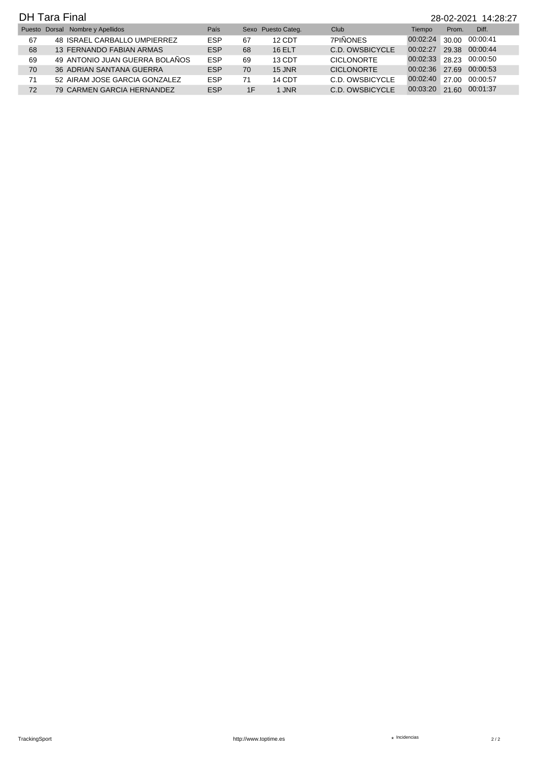|    | <b>DH Tara Final</b><br>28-02-2021 14:28:27 |                                  |            |    |                    |                   |                |       |          |  |  |  |
|----|---------------------------------------------|----------------------------------|------------|----|--------------------|-------------------|----------------|-------|----------|--|--|--|
|    |                                             | Puesto Dorsal Nombre y Apellidos | País       |    | Sexo Puesto Categ. | Club              | Tiempo         | Prom. | Diff.    |  |  |  |
| 67 |                                             | 48 ISRAEL CARBALLO UMPIERREZ     | <b>ESP</b> | 67 | 12 CDT             | <b>7PIÑONES</b>   | 00:02:24       | 30.00 | 00:00:41 |  |  |  |
| 68 |                                             | 13 FERNANDO FABIAN ARMAS         | <b>ESP</b> | 68 | <b>16 ELT</b>      | C.D. OWSBICYCLE   | 00:02:27       | 29.38 | 00:00:44 |  |  |  |
| 69 |                                             | 49 ANTONIO JUAN GUERRA BOLAÑOS   | <b>ESP</b> | 69 | 13 CDT             | <b>CICLONORTE</b> | 00:02:33       | 28.23 | 00:00:50 |  |  |  |
| 70 |                                             | 36 ADRIAN SANTANA GUERRA         | <b>ESP</b> | 70 | $15$ JNR           | <b>CICLONORTE</b> | 00:02:36       | 27.69 | 00:00:53 |  |  |  |
| 71 |                                             | 52 AIRAM JOSE GARCIA GONZALEZ    | <b>ESP</b> | 71 | 14 CDT             | C.D. OWSBICYCLE   | 00:02:40 27.00 |       | 00:00:57 |  |  |  |
| 72 |                                             | 79 CARMEN GARCIA HERNANDEZ       | <b>ESP</b> | 1F | 1 JNR              | C.D. OWSBICYCLE   | 00:03:20 21.60 |       | 00:01:37 |  |  |  |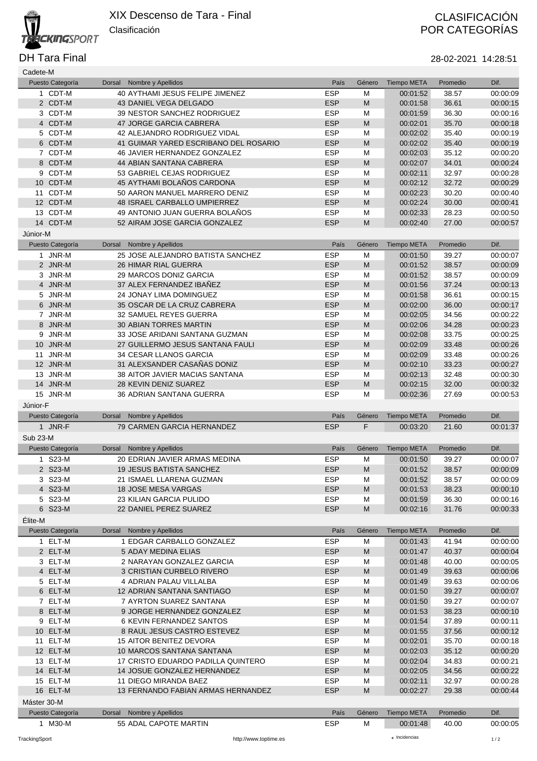

DH Tara Final 28-02-2021 14:28:51

| Cadete-M        |                             |                                                       |                    |                                                                                                            |                                |                   |                  |
|-----------------|-----------------------------|-------------------------------------------------------|--------------------|------------------------------------------------------------------------------------------------------------|--------------------------------|-------------------|------------------|
|                 | Puesto Categoría            | Nombre y Apellidos<br>Dorsal                          | País               | Género                                                                                                     | <b>Tiempo META</b>             | Promedio          | Dif.             |
|                 | 1 CDT-M                     | 40 AYTHAMI JESUS FELIPE JIMENEZ                       | <b>ESP</b>         | M                                                                                                          | 00:01:52                       | 38.57             | 00:00:09         |
|                 | 2 CDT-M                     | 43 DANIEL VEGA DELGADO                                | <b>ESP</b>         | M                                                                                                          | 00:01:58                       | 36.61             | 00:00:15         |
|                 | 3 CDT-M                     | 39 NESTOR SANCHEZ RODRIGUEZ                           | <b>ESP</b>         | M                                                                                                          | 00:01:59                       | 36.30             | 00:00:16         |
|                 | 4 CDT-M                     | 47 JORGE GARCIA CABRERA                               | <b>ESP</b>         | M                                                                                                          | 00:02:01                       | 35.70             | 00:00:18         |
|                 | 5 CDT-M                     | <b>42 ALEJANDRO RODRIGUEZ VIDAL</b>                   | <b>ESP</b>         | M                                                                                                          | 00:02:02                       | 35.40             | 00:00:19         |
|                 | 6 CDT-M                     | 41 GUIMAR YARED ESCRIBANO DEL ROSARIO                 | <b>ESP</b>         | ${\sf M}$                                                                                                  | 00:02:02                       | 35.40             | 00:00:19         |
|                 | 7 CDT-M                     | <b>46 JAVIER HERNANDEZ GONZALEZ</b>                   | <b>ESP</b>         | M                                                                                                          | 00:02:03                       | 35.12             | 00:00:20         |
|                 | 8 CDT-M                     | 44 ABIAN SANTANA CABRERA                              | <b>ESP</b>         | M                                                                                                          | 00:02:07                       | 34.01             | 00:00:24         |
|                 | 9 CDT-M                     | 53 GABRIEL CEJAS RODRIGUEZ                            | <b>ESP</b>         | M                                                                                                          | 00:02:11                       | 32.97             | 00:00:28         |
|                 | 10 CDT-M                    | 45 AYTHAMI BOLAÑOS CARDONA                            | <b>ESP</b>         | ${\sf M}$                                                                                                  | 00:02:12                       | 32.72             | 00:00:29         |
| 11              | CDT-M                       | 50 AARON MANUEL MARRERO DENIZ                         | <b>ESP</b>         | M                                                                                                          | 00:02:23                       | 30.20             | 00:00:40         |
|                 | 12 CDT-M                    |                                                       |                    |                                                                                                            |                                |                   |                  |
|                 |                             | <b>48 ISRAEL CARBALLO UMPIERREZ</b>                   | <b>ESP</b>         | ${\sf M}$                                                                                                  | 00:02:24                       | 30.00             | 00:00:41         |
|                 | 13 CDT-M                    | 49 ANTONIO JUAN GUERRA BOLAÑOS                        | <b>ESP</b>         | M                                                                                                          | 00:02:33                       | 28.23             | 00:00:50         |
|                 | 14 CDT-M                    | 52 AIRAM JOSE GARCIA GONZALEZ                         | <b>ESP</b>         | ${\sf M}$                                                                                                  | 00:02:40                       | 27.00             | 00:00:57         |
| Júnior-M        |                             |                                                       |                    |                                                                                                            |                                |                   |                  |
|                 | Puesto Categoría            | Dorsal<br>Nombre y Apellidos                          | País               | Género                                                                                                     | <b>Tiempo META</b>             | Promedio          | Dif.             |
|                 | 1 JNR-M                     | 25 JOSE ALEJANDRO BATISTA SANCHEZ                     | <b>ESP</b>         | M                                                                                                          | 00:01:50                       | 39.27             | 00:00:07         |
|                 | 2 JNR-M                     | <b>26 HIMAR RIAL GUERRA</b>                           | <b>ESP</b>         | $\mathsf{M}% _{T}=\mathsf{M}_{T}\!\left( a,b\right) ,\ \mathsf{M}_{T}=\mathsf{M}_{T}\!\left( a,b\right) ,$ | 00:01:52                       | 38.57             | 00:00:09         |
|                 | 3 JNR-M                     | 29 MARCOS DONIZ GARCIA                                | <b>ESP</b>         | M                                                                                                          | 00:01:52                       | 38.57             | 00:00:09         |
|                 | 4 JNR-M                     | 37 ALEX FERNANDEZ IBANEZ                              | <b>ESP</b>         | M                                                                                                          | 00:01:56                       | 37.24             | 00:00:13         |
|                 | 5 JNR-M                     | 24 JONAY LIMA DOMINGUEZ                               | <b>ESP</b>         | M                                                                                                          | 00:01:58                       | 36.61             | 00:00:15         |
|                 | 6 JNR-M                     | 35 OSCAR DE LA CRUZ CABRERA                           | <b>ESP</b>         | M                                                                                                          | 00:02:00                       | 36.00             | 00:00:17         |
|                 | 7 JNR-M                     | 32 SAMUEL REYES GUERRA                                | <b>ESP</b>         | M                                                                                                          | 00:02:05                       | 34.56             | 00:00:22         |
|                 |                             |                                                       |                    | ${\sf M}$                                                                                                  |                                |                   |                  |
|                 | 8 JNR-M                     | <b>30 ABIAN TORRES MARTIN</b>                         | <b>ESP</b>         |                                                                                                            | 00:02:06                       | 34.28             | 00:00:23         |
|                 | 9 JNR-M                     | 33 JOSE ARIDANI SANTANA GUZMAN                        | <b>ESP</b>         | M                                                                                                          | 00:02:08                       | 33.75             | 00:00:25         |
|                 | 10 JNR-M                    | 27 GUILLERMO JESUS SANTANA FAULI                      | <b>ESP</b>         | M                                                                                                          | 00:02:09                       | 33.48             | 00:00:26         |
|                 | 11 JNR-M                    | 34 CESAR LLANOS GARCIA                                | <b>ESP</b>         | M                                                                                                          | 00:02:09                       | 33.48             | 00:00:26         |
|                 | 12 JNR-M                    | 31 ALEXSANDER CASAÑAS DONIZ                           | <b>ESP</b>         | M                                                                                                          | 00:02:10                       | 33.23             | 00:00:27         |
|                 | 13 JNR-M                    | <b>38 AITOR JAVIER MACIAS SANTANA</b>                 | <b>ESP</b>         | M                                                                                                          | 00:02:13                       | 32.48             | 00:00:30         |
|                 | 14 JNR-M                    | 28 KEVIN DENIZ SUAREZ                                 | <b>ESP</b>         | M                                                                                                          | 00:02:15                       | 32.00             | 00:00:32         |
|                 | 15 JNR-M                    | 36 ADRIAN SANTANA GUERRA                              | <b>ESP</b>         | M                                                                                                          | 00:02:36                       | 27.69             | 00:00:53         |
|                 |                             |                                                       |                    |                                                                                                            |                                |                   |                  |
| Júnior-F        |                             |                                                       |                    |                                                                                                            |                                |                   |                  |
|                 |                             |                                                       | País               | Género                                                                                                     |                                | Promedio          | Dif.             |
|                 | Puesto Categoría            | Dorsal Nombre y Apellidos                             |                    |                                                                                                            | <b>Tiempo META</b>             |                   |                  |
|                 | 1 JNR-F                     | 79 CARMEN GARCIA HERNANDEZ                            | <b>ESP</b>         | F                                                                                                          | 00:03:20                       | 21.60             | 00:01:37         |
| <b>Sub 23-M</b> |                             |                                                       |                    |                                                                                                            |                                |                   |                  |
|                 | Puesto Categoría            | Dorsal Nombre y Apellidos                             | País               | Género                                                                                                     | <b>Tiempo META</b>             | Promedio          | Dif.             |
|                 | 1 S23-M                     | 20 EDRIAN JAVIER ARMAS MEDINA                         | <b>ESP</b>         | M                                                                                                          | 00:01:50                       | 39.27             | 00:00:07         |
|                 | 2 S23-M                     | <b>19 JESUS BATISTA SANCHEZ</b>                       | <b>ESP</b>         | M                                                                                                          | 00:01:52                       | 38.57             | 00:00:09         |
|                 | 3 S23-M                     | 21 ISMAEL LLARENA GUZMAN                              | <b>ESP</b>         | M                                                                                                          | 00:01:52                       | 38.57             | 00:00:09         |
|                 | 4 S23-M                     | 18 JOSE MESA VARGAS                                   | <b>ESP</b>         | $\mathsf{M}% _{T}=\mathsf{M}_{T}\!\left( a,b\right) ,\ \mathsf{M}_{T}=\mathsf{M}_{T}\!\left( a,b\right) ,$ | 00:01:53                       | 38.23             | 00:00:10         |
|                 | 5 S23-M                     | 23 KILIAN GARCIA PULIDO                               | <b>ESP</b>         | M                                                                                                          | 00:01:59                       | 36.30             | 00:00:16         |
|                 | 6 S23-M                     | 22 DANIEL PEREZ SUAREZ                                | <b>ESP</b>         | $\mathsf{M}% _{T}=\mathsf{M}_{T}\!\left( a,b\right) ,\ \mathsf{M}_{T}=\mathsf{M}_{T}\!\left( a,b\right) ,$ | 00:02:16                       | 31.76             | 00:00:33         |
| Élite-M         |                             |                                                       |                    |                                                                                                            |                                |                   |                  |
|                 |                             | Dorsal                                                | País               | Género                                                                                                     |                                |                   | Dif.             |
|                 | Puesto Categoría            | Nombre y Apellidos                                    |                    |                                                                                                            | <b>Tiempo META</b>             | Promedio          |                  |
|                 | 1 ELT-M                     | 1 EDGAR CARBALLO GONZALEZ                             | <b>ESP</b>         | M                                                                                                          | 00:01:43                       | 41.94             | 00:00:00         |
|                 | 2 ELT-M                     | 5 ADAY MEDINA ELIAS                                   | <b>ESP</b>         | ${\sf M}$                                                                                                  | 00:01:47                       | 40.37             | 00:00:04         |
|                 | 3 ELT-M                     | 2 NARAYAN GONZALEZ GARCIA                             | <b>ESP</b>         | M                                                                                                          | 00:01:48                       | 40.00             | 00:00:05         |
|                 | 4 ELT-M                     | 3 CRISTIAN CURBELO RIVERO                             | <b>ESP</b>         | ${\sf M}$                                                                                                  | 00:01:49                       | 39.63             | 00:00:06         |
|                 | 5 ELT-M                     | <b>4 ADRIAN PALAU VILLALBA</b>                        | <b>ESP</b>         | M                                                                                                          | 00:01:49                       | 39.63             | 00:00:06         |
|                 | 6 ELT-M                     | 12 ADRIAN SANTANA SANTIAGO                            | <b>ESP</b>         | M                                                                                                          | 00:01:50                       | 39.27             | 00:00:07         |
|                 | 7 ELT-M                     | 7 AYRTON SUAREZ SANTANA                               | <b>ESP</b>         | M                                                                                                          | 00:01:50                       | 39.27             | 00:00:07         |
|                 | 8 ELT-M                     | 9 JORGE HERNANDEZ GONZALEZ                            | <b>ESP</b>         | ${\sf M}$                                                                                                  | 00:01:53                       | 38.23             | 00:00:10         |
|                 | 9 ELT-M                     | <b>6 KEVIN FERNANDEZ SANTOS</b>                       | <b>ESP</b>         | M                                                                                                          | 00:01:54                       | 37.89             | 00:00:11         |
|                 | 10 ELT-M                    | 8 RAUL JESUS CASTRO ESTEVEZ                           | <b>ESP</b>         | ${\sf M}$                                                                                                  | 00:01:55                       | 37.56             | 00:00:12         |
|                 | 11 ELT-M                    | 15 AITOR BENITEZ DEVORA                               | <b>ESP</b>         | M                                                                                                          | 00:02:01                       | 35.70             | 00:00:18         |
|                 | 12 ELT-M                    | 10 MARCOS SANTANA SANTANA                             | <b>ESP</b>         | M                                                                                                          | 00:02:03                       | 35.12             | 00:00:20         |
|                 | 13 ELT-M                    | 17 CRISTO EDUARDO PADILLA QUINTERO                    | <b>ESP</b>         | M                                                                                                          | 00:02:04                       | 34.83             | 00:00:21         |
|                 | 14 ELT-M                    | 14 JOSUE GONZALEZ HERNANDEZ                           | <b>ESP</b>         | ${\sf M}$                                                                                                  | 00:02:05                       | 34.56             | 00:00:22         |
|                 | 15 ELT-M                    | 11 DIEGO MIRANDA BAEZ                                 | <b>ESP</b>         | M                                                                                                          | 00:02:11                       | 32.97             | 00:00:28         |
|                 | 16 ELT-M                    | 13 FERNANDO FABIAN ARMAS HERNANDEZ                    | <b>ESP</b>         | ${\sf M}$                                                                                                  | 00:02:27                       | 29.38             | 00:00:44         |
|                 |                             |                                                       |                    |                                                                                                            |                                |                   |                  |
| Máster 30-M     |                             |                                                       |                    |                                                                                                            |                                |                   |                  |
|                 | Puesto Categoría<br>1 M30-M | Nombre y Apellidos<br>Dorsal<br>55 ADAL CAPOTE MARTIN | País<br><b>ESP</b> | Género<br>M                                                                                                | <b>Tiempo META</b><br>00:01:48 | Promedio<br>40.00 | Dif.<br>00:00:05 |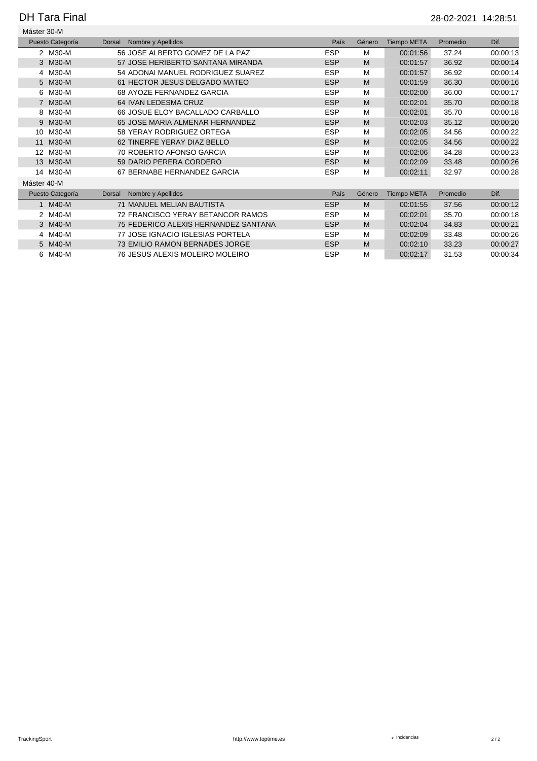## DH Tara Final 28-02-2021 14:28:51

| Máster 30-M                |                                       |            |        |                    |          |          |
|----------------------------|---------------------------------------|------------|--------|--------------------|----------|----------|
| Puesto Categoría           | Nombre y Apellidos<br>Dorsal          | País       | Género | <b>Tiempo META</b> | Promedio | Dif.     |
| 2 M30-M                    | 56 JOSE ALBERTO GOMEZ DE LA PAZ       | <b>ESP</b> | M      | 00:01:56           | 37.24    | 00:00:13 |
| 3 M30-M                    | 57 JOSE HERIBERTO SANTANA MIRANDA     | <b>ESP</b> | M      | 00:01:57           | 36.92    | 00:00:14 |
| 4 M30-M                    | 54 ADONAI MANUEL RODRIGUEZ SUAREZ     | <b>ESP</b> | M      | 00:01:57           | 36.92    | 00:00:14 |
| 5 M30-M                    | 61 HECTOR JESUS DELGADO MATEO         | <b>ESP</b> | M      | 00:01:59           | 36.30    | 00:00:16 |
| M30-M<br>6                 | 68 AYOZE FERNANDEZ GARCIA             | <b>ESP</b> | M      | 00:02:00           | 36.00    | 00:00:17 |
| 7 M30-M                    | 64 IVAN LEDESMA CRUZ                  | <b>ESP</b> | M      | 00:02:01           | 35.70    | 00:00:18 |
| M30-M<br>8                 | 66 JOSUE ELOY BACALLADO CARBALLO      | <b>ESP</b> | M      | 00:02:01           | 35.70    | 00:00:18 |
| 9 M30-M                    | 65 JOSE MARIA ALMENAR HERNANDEZ       | <b>ESP</b> | M      | 00:02:03           | 35.12    | 00:00:20 |
| M30-M<br>10                | 58 YERAY RODRIGUEZ ORTEGA             | <b>ESP</b> | M      | 00:02:05           | 34.56    | 00:00:22 |
| M30-M<br>11                | 62 TINERFE YERAY DIAZ BELLO           | <b>ESP</b> | M      | 00:02:05           | 34.56    | 00:00:22 |
| M30-M<br>$12 \overline{ }$ | 70 ROBERTO AFONSO GARCIA              | <b>ESP</b> | M      | 00:02:06           | 34.28    | 00:00:23 |
| 13 M30-M                   | 59 DARIO PERERA CORDERO               | <b>ESP</b> | M      | 00:02:09           | 33.48    | 00:00:26 |
| 14 M30-M                   | 67 BERNABE HERNANDEZ GARCIA           | <b>ESP</b> | M      | 00:02:11           | 32.97    | 00:00:28 |
| Máster 40-M                |                                       |            |        |                    |          |          |
| Puesto Categoría           | Nombre y Apellidos<br>Dorsal          | País       | Género | <b>Tiempo META</b> | Promedio | Dif.     |
| M40-M                      | <b>71 MANUEL MELIAN BAUTISTA</b>      | <b>ESP</b> | M      | 00:01:55           | 37.56    | 00:00:12 |
| 2 M40-M                    | 72 FRANCISCO YERAY BETANCOR RAMOS     | <b>ESP</b> | M      | 00:02:01           | 35.70    | 00:00:18 |
| 3 M40-M                    | 75 FEDERICO ALEXIS HERNANDEZ SANTANA  | <b>ESP</b> | M      | 00:02:04           | 34.83    | 00:00:21 |
| 4 M40-M                    | 77 JOSE IGNACIO IGLESIAS PORTELA      | <b>ESP</b> | M      | 00:02:09           | 33.48    | 00:00:26 |
| 5 M40-M                    | <b>73 EMILIO RAMON BERNADES JORGE</b> | <b>ESP</b> | M      | 00:02:10           | 33.23    | 00:00:27 |
| M40-M<br>6.                | 76 JESUS ALEXIS MOLEIRO MOLEIRO       | <b>ESP</b> | M      | 00:02:17           | 31.53    | 00:00:34 |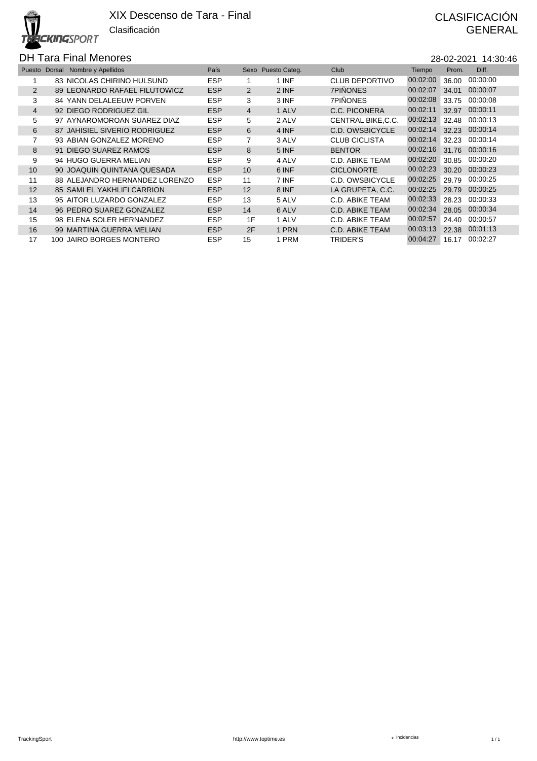# **CKINGSPORT**

# DH Tara Final Menores 28-02-2021 14:30:46

|                 | Puesto Dorsal Nombre y Apellidos | País       | Sexo           | Puesto Categ. | Club                 | Tiempo   | Prom. | Diff.    |
|-----------------|----------------------------------|------------|----------------|---------------|----------------------|----------|-------|----------|
|                 | 83 NICOLAS CHIRINO HULSUND       | <b>ESP</b> |                | 1 INF         | CLUB DEPORTIVO       | 00:02:00 | 36.00 | 00:00:00 |
| 2               | 89 LEONARDO RAFAEL FILUTOWICZ    | <b>ESP</b> | $\overline{2}$ | 2 INF         | <b>7PIÑONES</b>      | 00:02:07 | 34.01 | 00:00:07 |
| 3               | 84 YANN DELALEEUW PORVEN         | <b>ESP</b> | 3              | 3 INF         | <b>7PIÑONES</b>      | 00:02:08 | 33.75 | 00:00:08 |
| $\overline{4}$  | 92 DIEGO RODRIGUEZ GIL           | <b>ESP</b> | $\overline{4}$ | 1 ALV         | C.C. PICONERA        | 00:02:11 | 32.97 | 00:00:11 |
| 5               | 97 AYNAROMOROAN SUAREZ DIAZ      | <b>ESP</b> | 5              | 2 ALV         | CENTRAL BIKE.C.C.    | 00:02:13 | 32.48 | 00:00:13 |
| 6               | 87 JAHISIEL SIVERIO RODRIGUEZ    | <b>ESP</b> | 6              | 4 INF         | C.D. OWSBICYCLE      | 00:02:14 | 32.23 | 00:00:14 |
| 7               | 93 ABIAN GONZALEZ MORENO         | <b>ESP</b> | 7              | 3 ALV         | <b>CLUB CICLISTA</b> | 00:02:14 | 32.23 | 00:00:14 |
| 8               | 91 DIEGO SUAREZ RAMOS            | <b>ESP</b> | 8              | 5 INF         | <b>BENTOR</b>        | 00:02:16 | 31.76 | 00:00:16 |
| 9               | 94 HUGO GUERRA MELIAN            | <b>ESP</b> | 9              | 4 ALV         | C.D. ABIKE TEAM      | 00:02:20 | 30.85 | 00:00:20 |
| 10 <sup>°</sup> | 90 JOAQUIN QUINTANA QUESADA      | <b>ESP</b> | 10             | 6 INF         | <b>CICLONORTE</b>    | 00:02:23 | 30.20 | 00:00:23 |
| 11              | 88 ALEJANDRO HERNANDEZ LORENZO   | <b>ESP</b> | 11             | 7 INF         | C.D. OWSBICYCLE      | 00:02:25 | 29.79 | 00:00:25 |
| 12              | 85 SAMI EL YAKHLIFI CARRION      | <b>ESP</b> | 12             | 8 INF         | LA GRUPETA, C.C.     | 00:02:25 | 29.79 | 00:00:25 |
| 13              | 95 AITOR LUZARDO GONZALEZ        | <b>ESP</b> | 13             | 5 ALV         | C.D. ABIKE TEAM      | 00:02:33 | 28.23 | 00:00:33 |
| 14              | 96 PEDRO SUAREZ GONZALEZ         | <b>ESP</b> | 14             | 6 ALV         | C.D. ABIKE TEAM      | 00:02:34 | 28.05 | 00:00:34 |
| 15              | 98 ELENA SOLER HERNANDEZ         | <b>ESP</b> | 1F             | 1 ALV         | C.D. ABIKE TEAM      | 00:02:57 | 24.40 | 00:00:57 |
| 16              | 99 MARTINA GUERRA MELIAN         | <b>ESP</b> | 2F             | 1 PRN         | C.D. ABIKE TEAM      | 00:03:13 | 22.38 | 00:01:13 |
| 17              | 100 JAIRO BORGES MONTERO         | <b>ESP</b> | 15             | 1 PRM         | TRIDER'S             | 00:04:27 | 16.17 | 00:02:27 |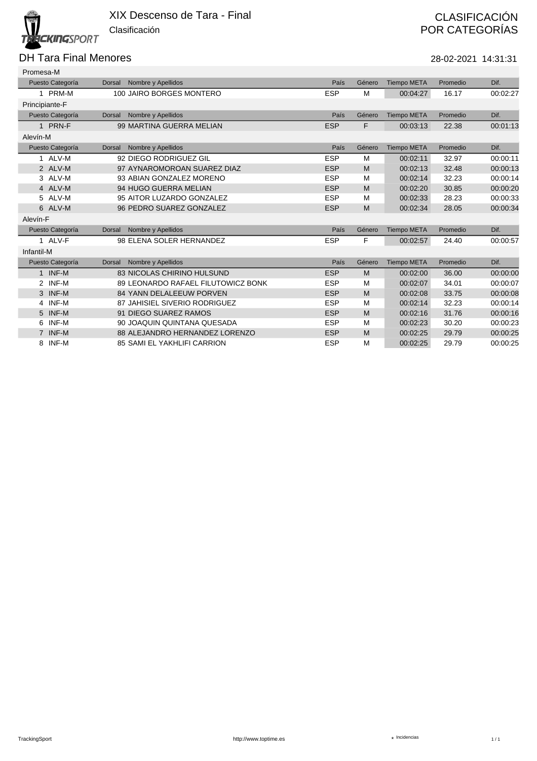### DH Tara Final Menores 28-02-2021 14:31:31

| Promesa-M              |               |                                    |            |        |                    |          |          |
|------------------------|---------------|------------------------------------|------------|--------|--------------------|----------|----------|
| Puesto Categoría       | Dorsal        | Nombre y Apellidos                 | País       | Género | <b>Tiempo META</b> | Promedio | Dif.     |
| 1 PRM-M                |               | 100 JAIRO BORGES MONTERO           | <b>ESP</b> | M      | 00:04:27           | 16.17    | 00:02:27 |
| Principiante-F         |               |                                    |            |        |                    |          |          |
| Puesto Categoría       | <b>Dorsal</b> | Nombre y Apellidos                 | País       | Género | <b>Tiempo META</b> | Promedio | Dif.     |
| 1 PRN-F                |               | 99 MARTINA GUERRA MELIAN           | <b>ESP</b> | F      | 00:03:13           | 22.38    | 00:01:13 |
| Alevín-M               |               |                                    |            |        |                    |          |          |
| Puesto Categoría       | Dorsal        | Nombre y Apellidos                 | País       | Género | <b>Tiempo META</b> | Promedio | Dif.     |
| 1 ALV-M                |               | 92 DIEGO RODRIGUEZ GIL             | <b>ESP</b> | M      | 00:02:11           | 32.97    | 00:00:11 |
| 2 ALV-M                |               | 97 AYNAROMOROAN SUAREZ DIAZ        | <b>ESP</b> | M      | 00:02:13           | 32.48    | 00:00:13 |
| 3 ALV-M                |               | 93 ABIAN GONZALEZ MORENO           | <b>ESP</b> | M      | 00:02:14           | 32.23    | 00:00:14 |
| 4 ALV-M                |               | 94 HUGO GUERRA MELIAN              | <b>ESP</b> | M      | 00:02:20           | 30.85    | 00:00:20 |
| 5 ALV-M                |               | 95 AITOR LUZARDO GONZALEZ          | <b>ESP</b> | M      | 00:02:33           | 28.23    | 00:00:33 |
| 6 ALV-M                |               | 96 PEDRO SUAREZ GONZALEZ           | <b>ESP</b> | M      | 00:02:34           | 28.05    | 00:00:34 |
| Alevín-F               |               |                                    |            |        |                    |          |          |
| Puesto Categoría       | Dorsal        | Nombre y Apellidos                 | País       | Género | <b>Tiempo META</b> | Promedio | Dif.     |
| 1 ALV-F                |               | 98 ELENA SOLER HERNANDEZ           | <b>ESP</b> | F      | 00:02:57           | 24.40    | 00:00:57 |
| Infantil-M             |               |                                    |            |        |                    |          |          |
| Puesto Categoría       | <b>Dorsal</b> | Nombre y Apellidos                 | País       | Género | <b>Tiempo META</b> | Promedio | Dif.     |
| 1 INF-M                |               | <b>83 NICOLAS CHIRINO HULSUND</b>  | <b>ESP</b> | M      | 00:02:00           | 36.00    | 00:00:00 |
| INF-M<br>$\mathcal{P}$ |               | 89 LEONARDO RAFAEL FILUTOWICZ BONK | <b>ESP</b> | M      | 00:02:07           | 34.01    | 00:00:07 |
| 3 INF-M                |               | 84 YANN DELALEEUW PORVEN           | <b>ESP</b> | M      | 00:02:08           | 33.75    | 00:00:08 |
| 4 INF-M                |               | 87 JAHISIEL SIVERIO RODRIGUEZ      | <b>ESP</b> | M      | 00:02:14           | 32.23    | 00:00:14 |
| 5 INF-M                |               | 91 DIEGO SUAREZ RAMOS              | <b>ESP</b> | M      | 00:02:16           | 31.76    | 00:00:16 |
| INF-M<br>6             |               | 90 JOAQUIN QUINTANA QUESADA        | <b>ESP</b> | M      | 00:02:23           | 30.20    | 00:00:23 |
| 7 INF-M                |               | 88 ALEJANDRO HERNANDEZ LORENZO     | <b>ESP</b> | M      | 00:02:25           | 29.79    | 00:00:25 |
| INF-M<br>8             |               | 85 SAMI EL YAKHLIFI CARRION        | <b>ESP</b> | M      | 00:02:25           | 29.79    | 00:00:25 |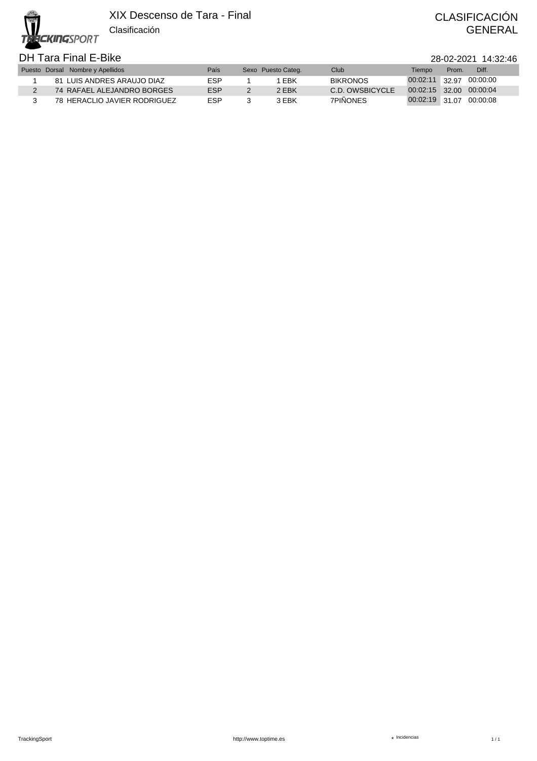Clasificación **CKINGSPORT** 

### DH Tara Final E-Bike 28-02-2021 14:32:46

| 28-02-2021 14:32:4 |  |
|--------------------|--|
|--------------------|--|

|  | Puesto Dorsal Nombre y Apellidos | País | Sexo Puesto Categ. | Club            | Tiempo                  | Prom. | Diff. |
|--|----------------------------------|------|--------------------|-----------------|-------------------------|-------|-------|
|  | 81 LUIS ANDRES ARAUJO DIAZ       | FSP  | EBK                | <b>BIKRONOS</b> | 00:02:11 32.97 00:00:00 |       |       |
|  | 74 RAFAEL ALEJANDRO BORGES       | FSP  | 2 EBK              | C.D. OWSBICYCLE | 00:02:15 32.00 00:00:04 |       |       |
|  | 78 HERACLIO JAVIER RODRIGUEZ     | ESP  | 3 EBK              | 7PINONES        | 00:02:19 31.07 00:00:08 |       |       |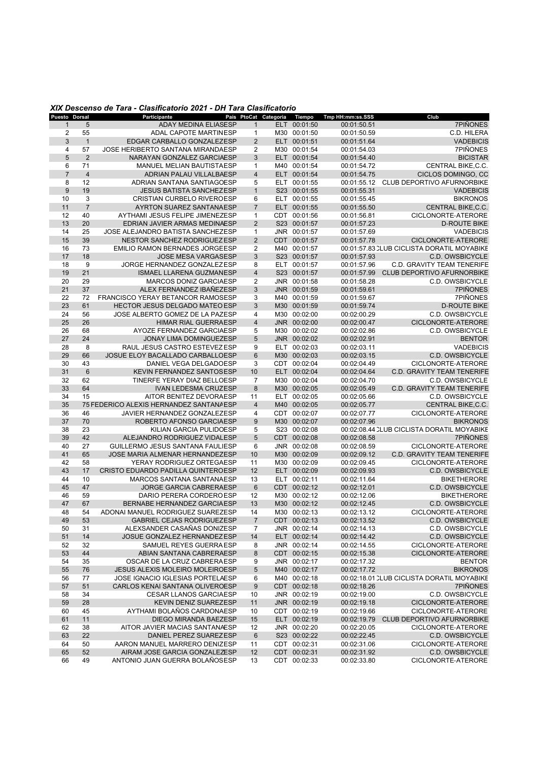#### *XIX Descenso de Tara - Clasificatorio 2021 - DH Tara Clasificatorio*

| Puesto Dorsal  |                | Participante                            |                | País PtoCat Categoria Tiempo |              | Tmp HH:mm:ss.SSS | Club                                       |
|----------------|----------------|-----------------------------------------|----------------|------------------------------|--------------|------------------|--------------------------------------------|
| $\mathbf{1}$   | 5              | <b>ADAY MEDINA ELIASESP</b>             | $\mathbf{1}$   |                              | ELT 00:01:50 | 00:01:50.51      | 7PIÑONES                                   |
| 2              | 55             | <b>ADAL CAPOTE MARTINESP</b>            | $\mathbf{1}$   |                              | M30 00:01:50 | 00:01:50.59      | C.D. HILERA                                |
| 3              | $\mathbf{1}$   | EDGAR CARBALLO GONZALEZESP              | $\overline{2}$ |                              | ELT 00:01:51 | 00:01:51.64      | <b>VADEBICIS</b>                           |
| 4              | 57             | JOSE HERIBERTO SANTANA MIRANDAESP       | 2              |                              | M30 00:01:54 | 00:01:54.03      | 7PIÑONES                                   |
|                |                |                                         |                |                              |              |                  |                                            |
| 5              | 2              | NARAYAN GONZALEZ GARCIAESP              | 3              |                              | ELT 00:01:54 | 00:01:54.40      | <b>BICISTAR</b>                            |
| 6              | 71             | MANUEL MELIAN BAUTISTAESP               | $\mathbf{1}$   |                              | M40 00:01:54 | 00:01:54.72      | <b>CENTRAL BIKE.C.C.</b>                   |
| $\overline{7}$ | $\overline{4}$ | <b>ADRIAN PALAU VILLALBAESP</b>         | $\overline{4}$ |                              | ELT 00:01:54 | 00:01:54.75      | CICLOS DOMINGO, CC                         |
| 8              | 12             | ADRIAN SANTANA SANTIAGOESP              | 5              |                              | ELT 00:01:55 | 00:01:55.12      | <b>CLUB DEPORTIVO AFURNORBIKE</b>          |
| 9              | 19             | <b>JESUS BATISTA SANCHEZESP</b>         | $\mathbf{1}$   |                              | S23 00:01:55 | 00:01:55.31      | <b>VADEBICIS</b>                           |
| 10             | 3              | <b>CRISTIAN CURBELO RIVEROESP</b>       | 6              |                              | ELT 00:01:55 | 00:01:55.45      | <b>BIKRONOS</b>                            |
| 11             | $\overline{7}$ | AYRTON SUAREZ SANTANAESP                | $\overline{7}$ |                              | ELT 00:01:55 | 00:01:55.50      | CENTRAL BIKE, C.C.                         |
|                |                |                                         |                |                              | CDT 00:01:56 |                  | CICLONORTE-ATERORE                         |
| 12             | 40             | AYTHAMI JESUS FELIPE JIMENEZESP         | $\mathbf{1}$   |                              |              | 00:01:56.81      |                                            |
| 13             | 20             | EDRIAN JAVIER ARMAS MEDINAESP           | $\overline{2}$ |                              | S23 00:01:57 | 00:01:57.23      | <b>D-ROUTE BIKE</b>                        |
| 14             | 25             | JOSE ALEJANDRO BATISTA SANCHEZESP       | $\mathbf{1}$   |                              | JNR 00:01:57 | 00:01:57.69      | <b>VADEBICIS</b>                           |
| 15             | 39             | NESTOR SANCHEZ RODRIGUEZ ESP            | $\overline{2}$ |                              | CDT 00:01:57 | 00:01:57.78      | CICLONORTE-ATERORE                         |
| 16             | 73             | EMILIO RAMON BERNADES JORGEESP          | $\overline{2}$ |                              | M40 00:01:57 |                  | 00:01:57.83 CLUB CICLISTA DORATIL MOYABIKE |
| 17             | 18             | <b>JOSE MESA VARGASESP</b>              | 3              |                              | S23 00:01:57 | 00:01:57.93      | <b>C.D. OWSBICYCLE</b>                     |
| 18             | 9              | JORGE HERNANDEZ GONZALEZESP             | 8              |                              | ELT 00:01:57 | 00:01:57.96      | <b>C.D. GRAVITY TEAM TENERIFE</b>          |
| 19             | 21             | ISMAEL LLARENA GUZMANESP                | $\overline{4}$ |                              | S23 00:01:57 | 00:01:57.99      | CLUB DEPORTIVO AFURNORBIKE                 |
|                |                |                                         |                |                              |              |                  |                                            |
| 20             | 29             | MARCOS DONIZ GARCIAESP                  | $\overline{2}$ |                              | JNR 00:01:58 | 00:01:58.28      | C.D. OWSBICYCLE                            |
| 21             | 37             | ALEX FERNANDEZ IBAÑEZESP                | 3              |                              | JNR 00:01:59 | 00:01:59.61      | 7PIÑONES                                   |
| 22             | 72             | FRANCISCO YERAY BETANCOR RAMOSESP       | 3              |                              | M40 00:01:59 | 00:01:59.67      | 7PIÑONES                                   |
| 23             | 61             | <b>HECTOR JESUS DELGADO MATEO ESP</b>   | 3              |                              | M30 00:01:59 | 00:01:59.74      | <b>D-ROUTE BIKE</b>                        |
| 24             | 56             | JOSE ALBERTO GOMEZ DE LA PAZESP         | 4              |                              | M30 00:02:00 | 00:02:00.29      | C.D. OWSBICYCLE                            |
| 25             | 26             | <b>HIMAR RIAL GUERRAESP</b>             | $\overline{4}$ |                              | JNR 00:02:00 | 00:02:00.47      | CICLONORTE-ATERORE                         |
| 26             | 68             | AYOZE FERNANDEZ GARCIAESP               | 5              |                              | M30 00:02:02 | 00:02:02.86      | C.D. OWSBICYCLE                            |
| 27             | 24             | <b>JONAY LIMA DOMINGUEZESP</b>          | 5              |                              | JNR 00:02:02 | 00:02:02.91      | <b>BENTOR</b>                              |
|                |                |                                         |                |                              |              |                  |                                            |
| 28             | 8              | RAUL JESUS CASTRO ESTEVEZESP            | 9              |                              | ELT 00:02:03 | 00:02:03.11      | <b>VADEBICIS</b>                           |
| 29             | 66             | JOSUE ELOY BACALLADO CARBALLOESP        | $6\phantom{1}$ |                              | M30 00:02:03 | 00:02:03.15      | <b>C.D. OWSBICYCLE</b>                     |
| 30             | 43             | DANIEL VEGA DELGADOESP                  | 3              |                              | CDT 00:02:04 | 00:02:04.49      | CICLONORTE-ATERORE                         |
| 31             | 6              | KEVIN FERNANDEZ SANTOSESP               | 10             |                              | ELT 00:02:04 | 00:02:04.64      | <b>C.D. GRAVITY TEAM TENERIFE</b>          |
| 32             | 62             | TINERFE YERAY DIAZ BELLOESP             | $\overline{7}$ |                              | M30 00:02:04 | 00:02:04.70      | C.D. OWSBICYCLE                            |
| 33             | 64             | <b>IVAN LEDESMA CRUZESP</b>             | 8              |                              | M30 00:02:05 | 00:02:05.49      | <b>C.D. GRAVITY TEAM TENERIFE</b>          |
| 34             | 15             | AITOR BENITEZ DEVORAESP                 | 11             |                              | ELT 00:02:05 | 00:02:05.66      | C.D. OWSBICYCLE                            |
| 35             |                | 75 FEDERICO ALEXIS HERNANDEZ SANTANAESP | $\overline{4}$ |                              | M40 00:02:05 | 00:02:05.77      |                                            |
|                |                |                                         |                |                              |              |                  | <b>CENTRAL BIKE, C.C.</b>                  |
| 36             | 46             | JAVIER HERNANDEZ GONZALEZESP            | 4              |                              | CDT 00:02:07 | 00:02:07.77      | CICLONORTE-ATERORE                         |
| 37             | 70             | ROBERTO AFONSO GARCIAESP                | 9              |                              | M30 00:02:07 | 00:02:07.96      | <b>BIKRONOS</b>                            |
| 38             | 23             | KILIAN GARCIA PULIDOESP                 | 5              |                              | S23 00:02:08 |                  | 00:02:08.44 CLUB CICLISTA DORATIL MOYABIKE |
| 39             | 42             | ALEJANDRO RODRIGUEZ VIDALESP            | 5              |                              | CDT 00:02:08 | 00:02:08.58      | 7PIÑONES                                   |
| 40             | 27             | GUILLERMO JESUS SANTANA FAULIESP        | 6              |                              | JNR 00:02:08 | 00:02:08.59      | CICLONORTE-ATERORE                         |
| 41             | 65             | JOSE MARIA ALMENAR HERNANDEZESP         | 10             |                              | M30 00:02:09 | 00:02:09.12      | <b>C.D. GRAVITY TEAM TENERIFE</b>          |
| 42             | 58             | YERAY RODRIGUEZ ORTEGAESP               | 11             |                              | M30 00:02:09 | 00:02:09.45      | CICLONORTE-ATERORE                         |
| 43             | 17             | CRISTO EDUARDO PADILLA QUINTEROESP      | 12             |                              | ELT 00:02:09 | 00:02:09.93      | C.D. OWSBICYCLE                            |
|                |                |                                         |                |                              |              |                  |                                            |
| 44             | 10             | MARCOS SANTANA SANTANAESP               | 13             |                              | ELT 00:02:11 | 00:02:11.64      | <b>BIKETHERORE</b>                         |
| 45             | 47             | JORGE GARCIA CABRERAESP                 | $6\phantom{1}$ |                              | CDT 00:02:12 | 00:02:12.01      | C.D. OWSBICYCLE                            |
| 46             | 59             | DARIO PERERA CORDEROESP                 | 12             |                              | M30 00:02:12 | 00:02:12.06      | <b>BIKETHERORE</b>                         |
| 47             | 67             | BERNABE HERNANDEZ GARCIAESP             | 13             |                              | M30 00:02:12 | 00:02:12.45      | <b>C.D. OWSBICYCLE</b>                     |
| 48             | 54             | ADONAI MANUEL RODRIGUEZ SUAREZESP       | 14             |                              | M30 00:02:13 | 00:02:13.12      | CICLONORTE-ATERORE                         |
| 49             | 53             | GABRIEL CEJAS RODRIGUEZESP              | $\overline{7}$ |                              | CDT 00:02:13 | 00:02:13.52      | C.D. OWSBICYCLE                            |
| 50             | 31             | ALEXSANDER CASAÑAS DONIZESP             | 7              |                              | JNR 00:02:14 | 00:02:14.13      | C.D. OWSBICYCLE                            |
| 51             | 14             | JOSUE GONZALEZ HERNANDEZESP             | 14             |                              | ELT 00:02:14 | 00:02:14.42      | C.D. OWSBICYCLE                            |
|                |                |                                         |                |                              |              |                  |                                            |
| 52             | 32             | SAMUEL REYES GUERRAESP                  | 8              |                              | JNR 00:02:14 | 00:02:14.55      | CICLONORTE-ATERORE                         |
| 53             | 44             | ABIAN SANTANA CABRERAESP                | 8              |                              | CDT 00:02:15 | 00:02:15.38      | CICLONORTE-ATERORE                         |
| 54             | 35             | OSCAR DE LA CRUZ CABRERA ESP            | 9              |                              | JNR 00:02:17 | 00:02:17.32      | <b>BENTOR</b>                              |
| 55             | 76             | JESUS ALEXIS MOLEIRO MOLEIROESP         | 5              |                              | M40 00:02:17 | 00:02:17.72      | <b>BIKRONOS</b>                            |
| 56             | 77             | JOSE IGNACIO IGLESIAS PORTELAESP        | 6              |                              | M40 00:02:18 |                  | 00:02:18.01 CLUB CICLISTA DORATIL MOYABIKE |
| 57             | 51             | CARLOS KENAI SANTANA OLIVEROESP         | 9              |                              | CDT 00:02:18 | 00:02:18.26      | 7PIÑONES                                   |
| 58             | 34             | <b>CESAR LLANOS GARCIAESP</b>           | 10             |                              | JNR 00:02:19 | 00:02:19.00      | C.D. OWSBICYCLE                            |
| 59             | 28             | <b>KEVIN DENIZ SUAREZESP</b>            | 11             |                              | JNR 00:02:19 | 00:02:19.18      | CICLONORTE-ATERORE                         |
|                |                |                                         |                |                              |              |                  |                                            |
| 60             | 45             | AYTHAMI BOLAÑOS CARDONAESP              | 10             |                              | CDT 00:02:19 | 00:02:19.66      | CICLONORTE-ATERORE                         |
| 61             | 11             | DIEGO MIRANDA BAEZESP                   | 15             |                              | ELT 00:02:19 | 00:02:19.79      | <b>CLUB DEPORTIVO AFURNORBIKE</b>          |
| 62             | 38             | AITOR JAVIER MACIAS SANTANAESP          | 12             |                              | JNR 00:02:20 | 00:02:20.05      | CICLONORTE-ATERORE                         |
| 63             | 22             | DANIEL PEREZ SUAREZESP                  | $6\phantom{1}$ |                              | S23 00:02:22 | 00:02:22.45      | C.D. OWSBICYCLE                            |
| 64             | 50             | AARON MANUEL MARRERO DENIZESP           | 11             |                              | CDT 00:02:31 | 00:02:31.06      | CICLONORTE-ATERORE                         |
| 65             | 52             | AIRAM JOSE GARCIA GONZALEZESP           | 12             |                              | CDT 00:02:31 | 00:02:31.92      | C.D. OWSBICYCLE                            |
| 66             | 49             | ANTONIO JUAN GUERRA BOLAÑOSESP          | 13             |                              | CDT 00:02:33 | 00:02:33.80      | CICLONORTE-ATERORE                         |
|                |                |                                         |                |                              |              |                  |                                            |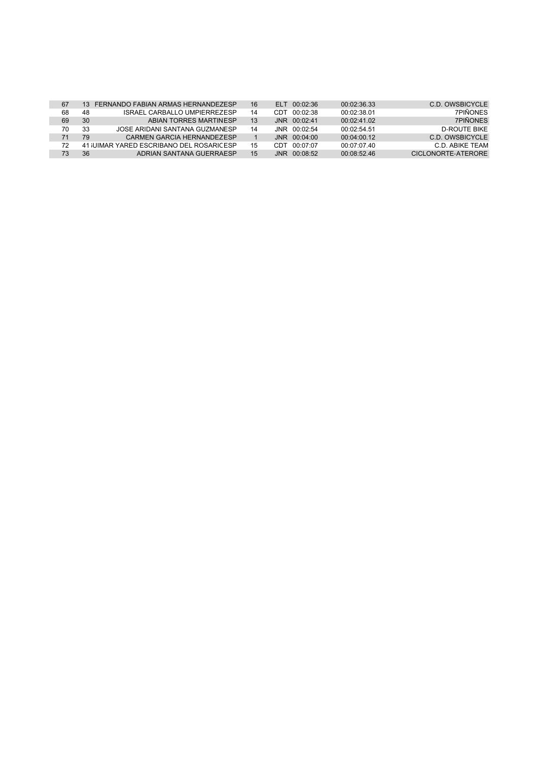| 67 | 13 <sup>7</sup> | FERNANDO FABIAN ARMAS HERNANDEZESP       | 16 |     | ELT 00:02:36   | 00.02.36.33 | C.D. OWSBICYCLE    |
|----|-----------------|------------------------------------------|----|-----|----------------|-------------|--------------------|
| 68 | 48              | ISRAFI CARBALLO UMPIFRREZESP             | 14 | CDT | 00:02:38       | 00:02:38.01 | <b>7PIÑONES</b>    |
| 69 | 30              | ABIAN TORRES MARTINESP                   | 13 |     | JNR 00:02:41   | 00.02.41.02 | <b>7PIÑONES</b>    |
| 70 | 33              | JOSE ARIDANI SANTANA GUZMANESP           | 14 |     | $JNR$ 00:02:54 | 00.02.54.51 | D-ROUTE BIKE       |
| 71 | 79              | CARMEN GARCIA HERNANDEZESP               |    |     | $JNR$ 00:04:00 | 00.04.0012  | C.D. OWSBICYCLE    |
| 72 |                 | 41 JUIMAR YARED ESCRIBANO DEL ROSARICESP | 15 | CDT | 00:07:07       | 00.07.07.40 | C.D. ABIKE TEAM    |
| 73 | 36              | ADRIAN SANTANA GUERRAESP                 | 15 |     | $JNR$ 00:08:52 | 00.08.5246  | CICLONORTE-ATERORE |
|    |                 |                                          |    |     |                |             |                    |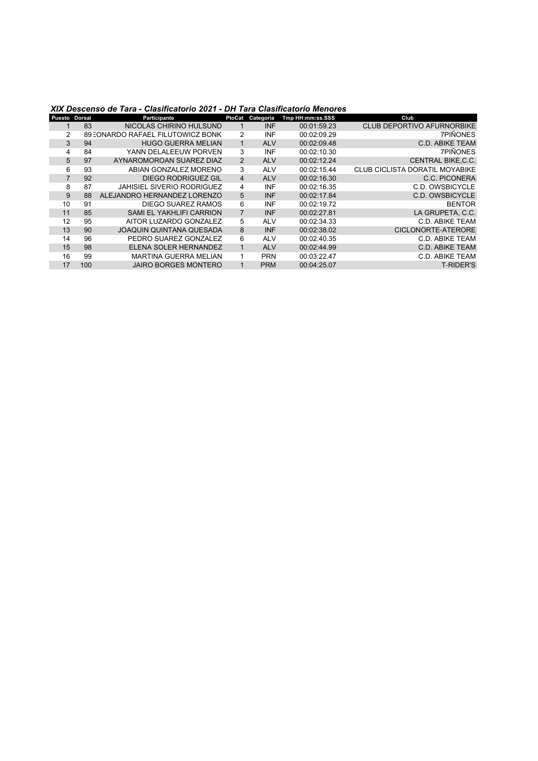#### *XIX Descenso de Tara - Clasificatorio 2021 - DH Tara Clasificatorio Menores*

| Puesto Dorsal |     | Participante                      | PtoCat         | Categoria  | Tmp HH:mm:ss.SSS | Club                                  |
|---------------|-----|-----------------------------------|----------------|------------|------------------|---------------------------------------|
|               | 83  | NICOLAS CHIRINO HULSUND           |                | <b>INF</b> | 00:01:59.23      | <b>CLUB DEPORTIVO AFURNORBIKE</b>     |
|               |     | 89 EONARDO RAFAEL FILUTOWICZ BONK | 2              | <b>INF</b> | 00:02:09.29      | <b>7PIÑONES</b>                       |
| 3             | 94  | <b>HUGO GUERRA MELIAN</b>         |                | <b>ALV</b> | 00:02:09.48      | <b>C.D. ABIKE TEAM</b>                |
| 4             | 84  | YANN DELALEEUW PORVEN             | 3              | <b>INF</b> | 00:02:10.30      | <b>7PIÑONES</b>                       |
| 5             | 97  | AYNAROMOROAN SUAREZ DIAZ          | 2              | <b>ALV</b> | 00:02:12.24      | <b>CENTRAL BIKE.C.C.</b>              |
| 6             | 93  | ABIAN GONZALEZ MORENO             | 3              | <b>ALV</b> | 00:02:15.44      | <b>CLUB CICLISTA DORATIL MOYABIKE</b> |
|               | 92  | <b>DIEGO RODRIGUEZ GIL</b>        | $\overline{4}$ | <b>ALV</b> | 00:02:16.30      | C.C. PICONERA                         |
| 8             | 87  | JAHISIEL SIVERIO RODRIGUEZ        | 4              | <b>INF</b> | 00:02:16.35      | C.D. OWSBICYCLE                       |
| 9             | 88  | ALEJANDRO HERNANDEZ LORENZO       | 5              | <b>INF</b> | 00:02:17.84      | <b>C.D. OWSBICYCLE</b>                |
| 10            | 91  | DIEGO SUAREZ RAMOS                | 6              | <b>INF</b> | 00:02:19.72      | <b>BENTOR</b>                         |
| 11            | 85  | <b>SAMI EL YAKHLIFI CARRION</b>   | $\overline{7}$ | <b>INF</b> | 00:02:27.81      | LA GRUPETA, C.C.                      |
| 12            | 95  | AITOR LUZARDO GONZALEZ            | 5              | <b>ALV</b> | 00:02:34.33      | <b>C.D. ABIKE TEAM</b>                |
| 13            | 90  | <b>JOAQUIN QUINTANA QUESADA</b>   | 8              | <b>INF</b> | 00:02:38.02      | <b>CICLONORTE-ATERORE</b>             |
| 14            | 96  | PEDRO SUAREZ GONZALEZ             | 6              | <b>ALV</b> | 00:02:40.35      | C.D. ABIKE TEAM                       |
| 15            | 98  | ELENA SOLER HERNANDEZ             |                | <b>ALV</b> | 00:02:44.99      | <b>C.D. ABIKE TEAM</b>                |
| 16            | 99  | <b>MARTINA GUERRA MELIAN</b>      |                | <b>PRN</b> | 00:03:22.47      | <b>C.D. ABIKE TEAM</b>                |
| 17            | 100 | <b>JAIRO BORGES MONTERO</b>       |                | <b>PRM</b> | 00:04:25.07      | <b>T-RIDER'S</b>                      |
|               |     |                                   |                |            |                  |                                       |